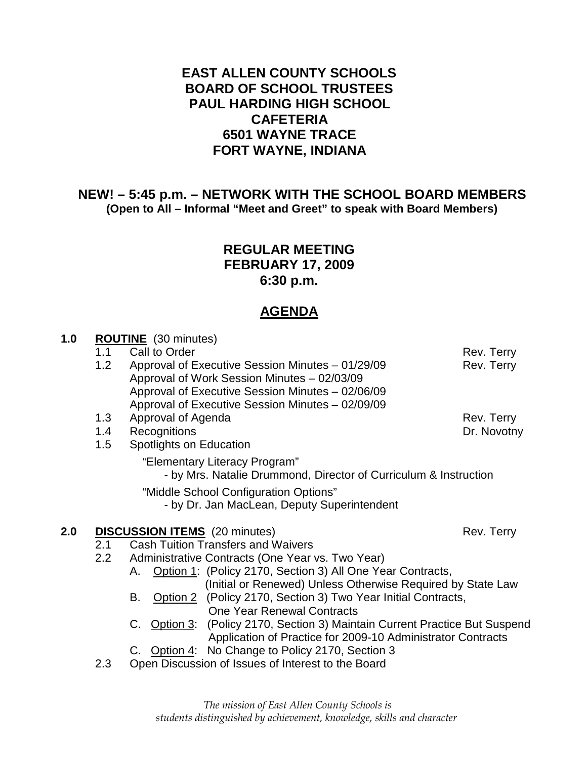### **EAST ALLEN COUNTY SCHOOLS BOARD OF SCHOOL TRUSTEES PAUL HARDING HIGH SCHOOL CAFETERIA 6501 WAYNE TRACE FORT WAYNE, INDIANA**

**NEW! – 5:45 p.m. – NETWORK WITH THE SCHOOL BOARD MEMBERS (Open to All – Informal "Meet and Greet" to speak with Board Members)** 

#### **REGULAR MEETING FEBRUARY 17, 2009 6:30 p.m.**

### **AGENDA**

**1.0 ROUTINE** (30 minutes)

|     | 1.1              | Call to Order                                                                  | Rev. Terry  |  |
|-----|------------------|--------------------------------------------------------------------------------|-------------|--|
|     | 1.2              | Approval of Executive Session Minutes - 01/29/09                               | Rev. Terry  |  |
|     |                  | Approval of Work Session Minutes - 02/03/09                                    |             |  |
|     |                  | Approval of Executive Session Minutes - 02/06/09                               |             |  |
|     |                  | Approval of Executive Session Minutes - 02/09/09                               |             |  |
|     | 1.3              | Approval of Agenda                                                             | Rev. Terry  |  |
|     | 1.4              | Recognitions                                                                   | Dr. Novotny |  |
|     | 1.5              | Spotlights on Education                                                        |             |  |
|     |                  | "Elementary Literacy Program"                                                  |             |  |
|     |                  | - by Mrs. Natalie Drummond, Director of Curriculum & Instruction               |             |  |
|     |                  | "Middle School Configuration Options"                                          |             |  |
|     |                  | - by Dr. Jan MacLean, Deputy Superintendent                                    |             |  |
|     |                  |                                                                                |             |  |
| 2.0 |                  | <b>DISCUSSION ITEMS</b> (20 minutes)                                           | Rev. Terry  |  |
|     | 2.1              | <b>Cash Tuition Transfers and Waivers</b>                                      |             |  |
|     | $2.2\phantom{0}$ | Administrative Contracts (One Year vs. Two Year)                               |             |  |
|     |                  | Option 1: (Policy 2170, Section 3) All One Year Contracts,<br>A.               |             |  |
|     |                  | (Initial or Renewed) Unless Otherwise Required by State Law                    |             |  |
|     |                  | Option 2 (Policy 2170, Section 3) Two Year Initial Contracts,<br>В.            |             |  |
|     |                  | <b>One Year Renewal Contracts</b>                                              |             |  |
|     |                  | Option 3: (Policy 2170, Section 3) Maintain Current Practice But Suspend<br>C. |             |  |
|     |                  | Application of Practice for 2009-10 Administrator Contracts                    |             |  |
|     |                  | C. Option 4: No Change to Policy 2170, Section 3                               |             |  |
|     | 2.3              | Open Discussion of Issues of Interest to the Board                             |             |  |
|     |                  |                                                                                |             |  |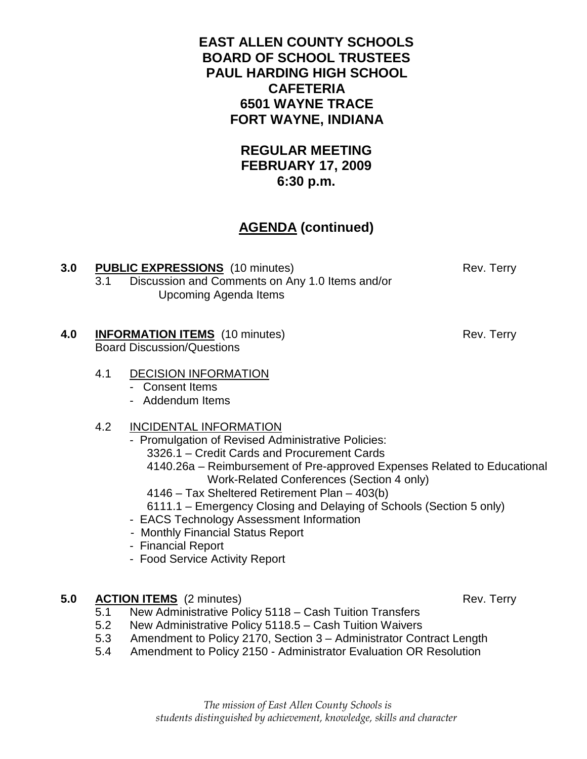### **EAST ALLEN COUNTY SCHOOLS BOARD OF SCHOOL TRUSTEES PAUL HARDING HIGH SCHOOL CAFETERIA 6501 WAYNE TRACE FORT WAYNE, INDIANA**

## **REGULAR MEETING FEBRUARY 17, 2009 6:30 p.m.**

# **AGENDA (continued)**

- **3.0 PUBLIC EXPRESSIONS** (10 minutes) Rev. Terry 3.1 Discussion and Comments on Any 1.0 Items and/or Upcoming Agenda Items
- **4.0 INFORMATION ITEMS** (10 minutes) Rev. Terry Board Discussion/Questions
	- 4.1 DECISION INFORMATION
		- Consent Items
		- Addendum Items
	- 4.2 INCIDENTAL INFORMATION
		- Promulgation of Revised Administrative Policies:
			- 3326.1 Credit Cards and Procurement Cards
			- 4140.26a Reimbursement of Pre-approved Expenses Related to Educational Work-Related Conferences (Section 4 only)
			- 4146 Tax Sheltered Retirement Plan 403(b)
			- 6111.1 Emergency Closing and Delaying of Schools (Section 5 only)
		- EACS Technology Assessment Information
		- Monthly Financial Status Report
		- Financial Report
		- Food Service Activity Report
- **5.0 ACTION ITEMS** (2 minutes) **Rev. Terry** Rev. Terry
	- 5.1 New Administrative Policy 5118 Cash Tuition Transfers
	- 5.2 New Administrative Policy 5118.5 Cash Tuition Waivers
	- 5.3 Amendment to Policy 2170, Section 3 Administrator Contract Length
	- 5.4 Amendment to Policy 2150 Administrator Evaluation OR Resolution